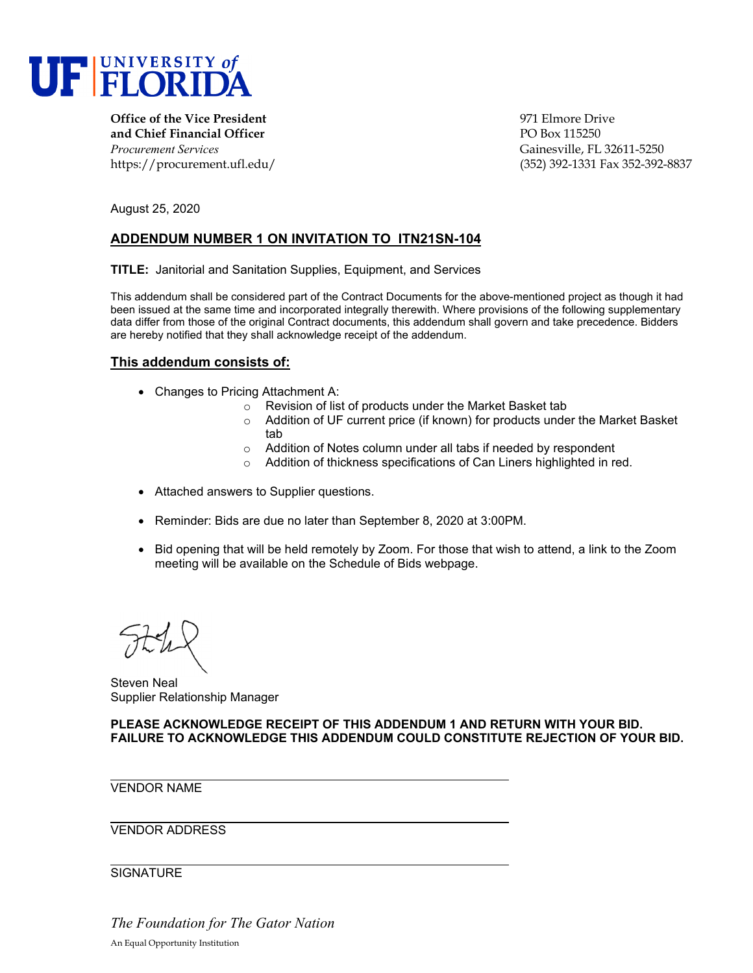

**Office of the Vice President** 971 Elmore Drive **and Chief Financial Officer PO Box 115250** *Procurement Services* Gainesville, FL 32611-5250

https://procurement.ufl.edu/ (352) 392-1331 Fax 352-392-8837

August 25, 2020

## **ADDENDUM NUMBER 1 ON INVITATION TO ITN21SN-104**

**TITLE:** Janitorial and Sanitation Supplies, Equipment, and Services

This addendum shall be considered part of the Contract Documents for the above-mentioned project as though it had been issued at the same time and incorporated integrally therewith. Where provisions of the following supplementary data differ from those of the original Contract documents, this addendum shall govern and take precedence. Bidders are hereby notified that they shall acknowledge receipt of the addendum.

## **This addendum consists of:**

- Changes to Pricing Attachment A:
	- o Revision of list of products under the Market Basket tab
	- $\circ$  Addition of UF current price (if known) for products under the Market Basket tab
	- o Addition of Notes column under all tabs if needed by respondent
	- o Addition of thickness specifications of Can Liners highlighted in red.
- Attached answers to Supplier questions.
- Reminder: Bids are due no later than September 8, 2020 at 3:00PM.
- Bid opening that will be held remotely by Zoom. For those that wish to attend, a link to the Zoom meeting will be available on the Schedule of Bids webpage.

Steven Neal Supplier Relationship Manager

**PLEASE ACKNOWLEDGE RECEIPT OF THIS ADDENDUM 1 AND RETURN WITH YOUR BID. FAILURE TO ACKNOWLEDGE THIS ADDENDUM COULD CONSTITUTE REJECTION OF YOUR BID.** 

VENDOR NAME

## VENDOR ADDRESS

**SIGNATURE** 

*The Foundation for The Gator Nation*  An Equal Opportunity Institution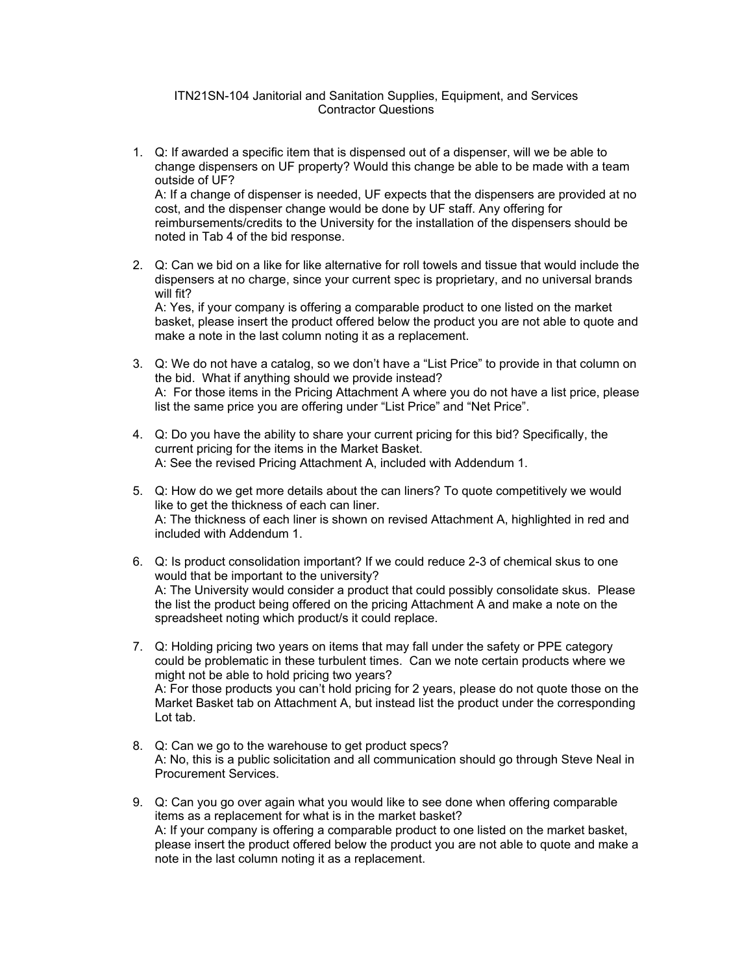## ITN21SN-104 Janitorial and Sanitation Supplies, Equipment, and Services Contractor Questions

- 1. Q: If awarded a specific item that is dispensed out of a dispenser, will we be able to change dispensers on UF property? Would this change be able to be made with a team outside of UF? A: If a change of dispenser is needed, UF expects that the dispensers are provided at no cost, and the dispenser change would be done by UF staff. Any offering for reimbursements/credits to the University for the installation of the dispensers should be noted in Tab 4 of the bid response.
- 2. Q: Can we bid on a like for like alternative for roll towels and tissue that would include the dispensers at no charge, since your current spec is proprietary, and no universal brands will fit?

A: Yes, if your company is offering a comparable product to one listed on the market basket, please insert the product offered below the product you are not able to quote and make a note in the last column noting it as a replacement.

- 3. Q: We do not have a catalog, so we don't have a "List Price" to provide in that column on the bid. What if anything should we provide instead? A: For those items in the Pricing Attachment A where you do not have a list price, please list the same price you are offering under "List Price" and "Net Price".
- 4. Q: Do you have the ability to share your current pricing for this bid? Specifically, the current pricing for the items in the Market Basket. A: See the revised Pricing Attachment A, included with Addendum 1.
- 5. Q: How do we get more details about the can liners? To quote competitively we would like to get the thickness of each can liner. A: The thickness of each liner is shown on revised Attachment A, highlighted in red and included with Addendum 1.
- 6. Q: Is product consolidation important? If we could reduce 2-3 of chemical skus to one would that be important to the university? A: The University would consider a product that could possibly consolidate skus. Please the list the product being offered on the pricing Attachment A and make a note on the spreadsheet noting which product/s it could replace.
- 7. Q: Holding pricing two years on items that may fall under the safety or PPE category could be problematic in these turbulent times. Can we note certain products where we might not be able to hold pricing two years? A: For those products you can't hold pricing for 2 years, please do not quote those on the Market Basket tab on Attachment A, but instead list the product under the corresponding Lot tab.
- 8. Q: Can we go to the warehouse to get product specs? A: No, this is a public solicitation and all communication should go through Steve Neal in Procurement Services.
- 9. Q: Can you go over again what you would like to see done when offering comparable items as a replacement for what is in the market basket? A: If your company is offering a comparable product to one listed on the market basket, please insert the product offered below the product you are not able to quote and make a note in the last column noting it as a replacement.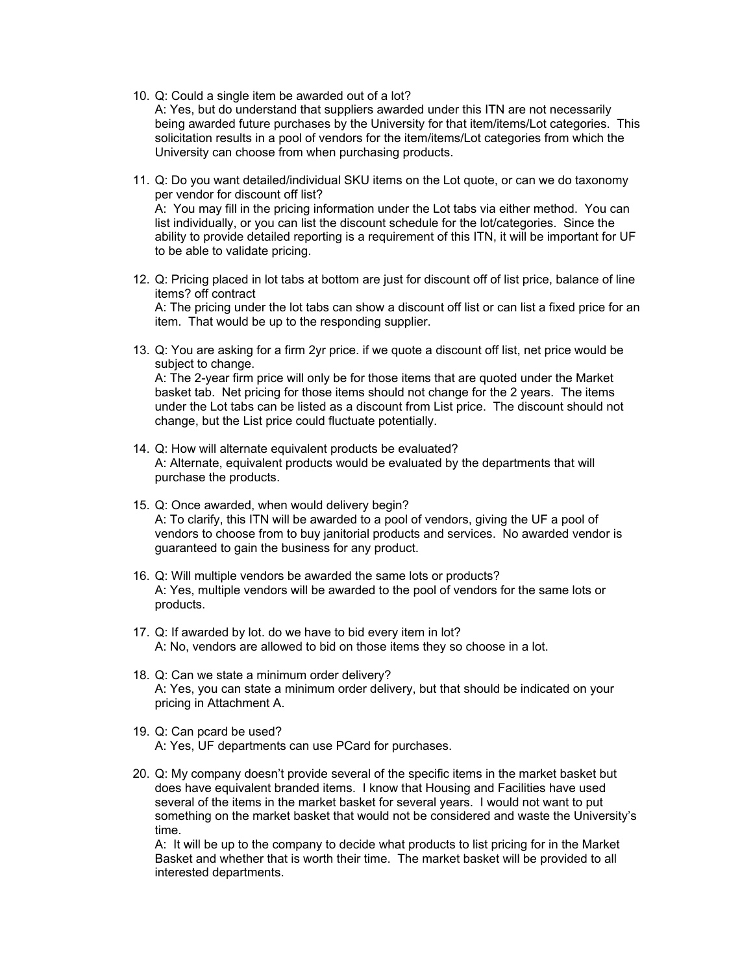10. Q: Could a single item be awarded out of a lot?

A: Yes, but do understand that suppliers awarded under this ITN are not necessarily being awarded future purchases by the University for that item/items/Lot categories. This solicitation results in a pool of vendors for the item/items/Lot categories from which the University can choose from when purchasing products.

- 11. Q: Do you want detailed/individual SKU items on the Lot quote, or can we do taxonomy per vendor for discount off list? A: You may fill in the pricing information under the Lot tabs via either method. You can list individually, or you can list the discount schedule for the lot/categories. Since the ability to provide detailed reporting is a requirement of this ITN, it will be important for UF to be able to validate pricing.
- 12. Q: Pricing placed in lot tabs at bottom are just for discount off of list price, balance of line items? off contract A: The pricing under the lot tabs can show a discount off list or can list a fixed price for an item. That would be up to the responding supplier.
- 13. Q: You are asking for a firm 2yr price. if we quote a discount off list, net price would be subject to change.

A: The 2-year firm price will only be for those items that are quoted under the Market basket tab. Net pricing for those items should not change for the 2 years. The items under the Lot tabs can be listed as a discount from List price. The discount should not change, but the List price could fluctuate potentially.

- 14. Q: How will alternate equivalent products be evaluated? A: Alternate, equivalent products would be evaluated by the departments that will purchase the products.
- 15. Q: Once awarded, when would delivery begin? A: To clarify, this ITN will be awarded to a pool of vendors, giving the UF a pool of vendors to choose from to buy janitorial products and services. No awarded vendor is guaranteed to gain the business for any product.
- 16. Q: Will multiple vendors be awarded the same lots or products? A: Yes, multiple vendors will be awarded to the pool of vendors for the same lots or products.
- 17. Q: If awarded by lot. do we have to bid every item in lot? A: No, vendors are allowed to bid on those items they so choose in a lot.
- 18. Q: Can we state a minimum order delivery? A: Yes, you can state a minimum order delivery, but that should be indicated on your pricing in Attachment A.
- 19. Q: Can pcard be used? A: Yes, UF departments can use PCard for purchases.
- 20. Q: My company doesn't provide several of the specific items in the market basket but does have equivalent branded items. I know that Housing and Facilities have used several of the items in the market basket for several years. I would not want to put something on the market basket that would not be considered and waste the University's time.

A: It will be up to the company to decide what products to list pricing for in the Market Basket and whether that is worth their time. The market basket will be provided to all interested departments.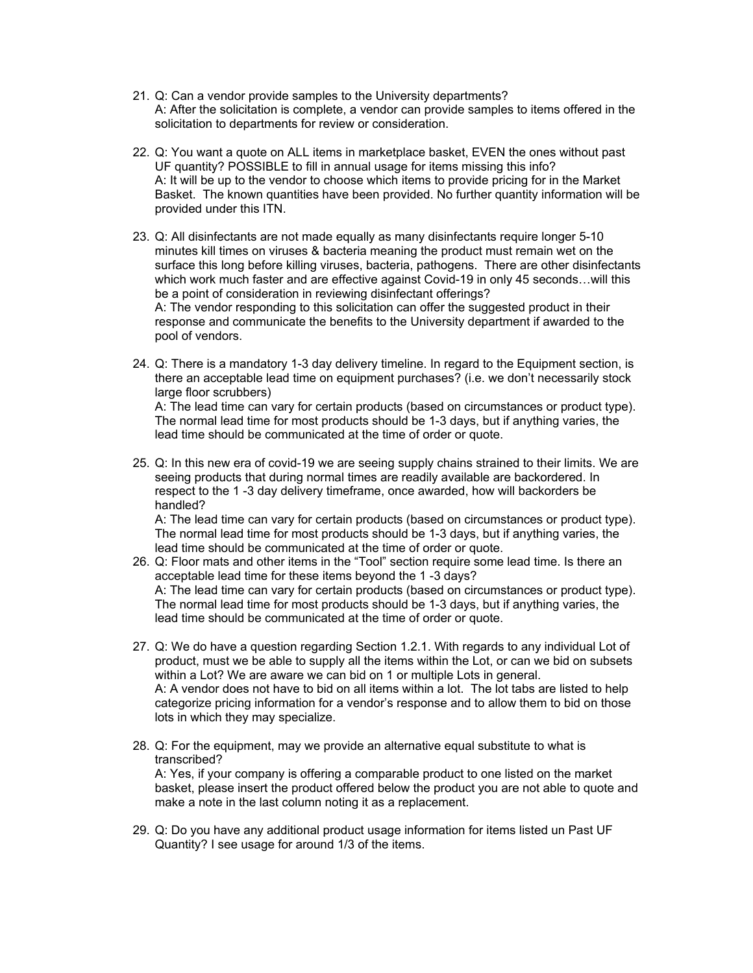- 21. Q: Can a vendor provide samples to the University departments? A: After the solicitation is complete, a vendor can provide samples to items offered in the solicitation to departments for review or consideration.
- 22. Q: You want a quote on ALL items in marketplace basket, EVEN the ones without past UF quantity? POSSIBLE to fill in annual usage for items missing this info? A: It will be up to the vendor to choose which items to provide pricing for in the Market Basket. The known quantities have been provided. No further quantity information will be provided under this ITN.
- 23. Q: All disinfectants are not made equally as many disinfectants require longer 5-10 minutes kill times on viruses & bacteria meaning the product must remain wet on the surface this long before killing viruses, bacteria, pathogens. There are other disinfectants which work much faster and are effective against Covid-19 in only 45 seconds…will this be a point of consideration in reviewing disinfectant offerings? A: The vendor responding to this solicitation can offer the suggested product in their response and communicate the benefits to the University department if awarded to the pool of vendors.
- 24. Q: There is a mandatory 1-3 day delivery timeline. In regard to the Equipment section, is there an acceptable lead time on equipment purchases? (i.e. we don't necessarily stock large floor scrubbers)

A: The lead time can vary for certain products (based on circumstances or product type). The normal lead time for most products should be 1-3 days, but if anything varies, the lead time should be communicated at the time of order or quote.

25. Q: In this new era of covid-19 we are seeing supply chains strained to their limits. We are seeing products that during normal times are readily available are backordered. In respect to the 1 -3 day delivery timeframe, once awarded, how will backorders be handled?

A: The lead time can vary for certain products (based on circumstances or product type). The normal lead time for most products should be 1-3 days, but if anything varies, the lead time should be communicated at the time of order or quote.

- 26. Q: Floor mats and other items in the "Tool" section require some lead time. Is there an acceptable lead time for these items beyond the 1 -3 days? A: The lead time can vary for certain products (based on circumstances or product type). The normal lead time for most products should be 1-3 days, but if anything varies, the lead time should be communicated at the time of order or quote.
- 27. Q: We do have a question regarding Section 1.2.1. With regards to any individual Lot of product, must we be able to supply all the items within the Lot, or can we bid on subsets within a Lot? We are aware we can bid on 1 or multiple Lots in general. A: A vendor does not have to bid on all items within a lot. The lot tabs are listed to help categorize pricing information for a vendor's response and to allow them to bid on those lots in which they may specialize.
- 28. Q: For the equipment, may we provide an alternative equal substitute to what is transcribed? A: Yes, if your company is offering a comparable product to one listed on the market basket, please insert the product offered below the product you are not able to quote and make a note in the last column noting it as a replacement.
- 29. Q: Do you have any additional product usage information for items listed un Past UF Quantity? I see usage for around 1/3 of the items.